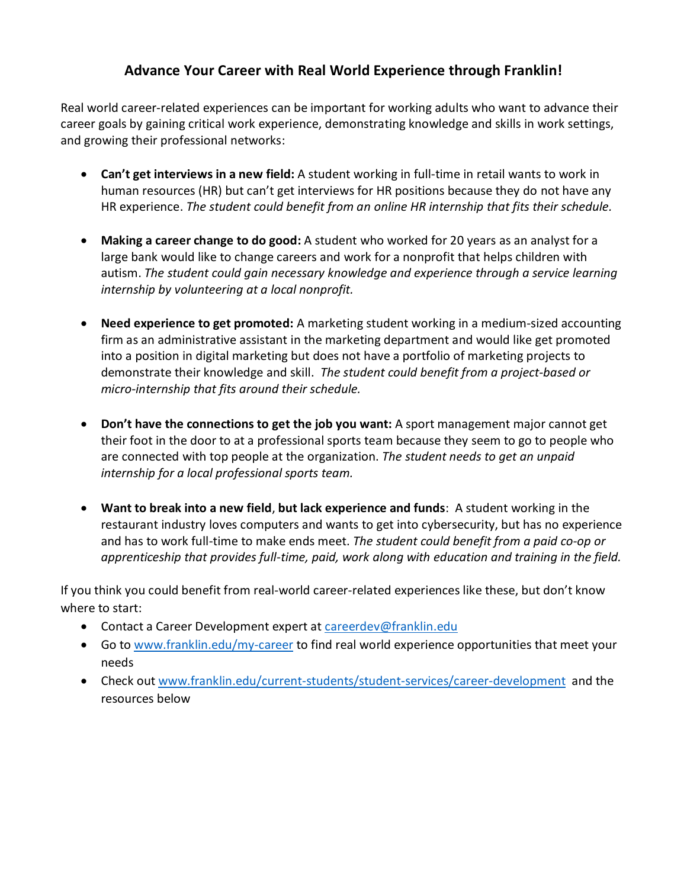### **Advance Your Career with Real World Experience through Franklin!**

Real world career-related experiences can be important for working adults who want to advance their career goals by gaining critical work experience, demonstrating knowledge and skills in work settings, and growing their professional networks:

- **Can't get interviews in a new field:** A student working in full-time in retail wants to work in human resources (HR) but can't get interviews for HR positions because they do not have any HR experience. *The student could benefit from an online HR internship that fits their schedule.*
- **Making a career change to do good:** A student who worked for 20 years as an analyst for a large bank would like to change careers and work for a nonprofit that helps children with autism. *The student could gain necessary knowledge and experience through a service learning internship by volunteering at a local nonprofit.*
- **Need experience to get promoted:** A marketing student working in a medium-sized accounting firm as an administrative assistant in the marketing department and would like get promoted into a position in digital marketing but does not have a portfolio of marketing projects to demonstrate their knowledge and skill. *The student could benefit from a project-based or micro-internship that fits around their schedule.*
- **Don't have the connections to get the job you want:** A sport management major cannot get their foot in the door to at a professional sports team because they seem to go to people who are connected with top people at the organization. *The student needs to get an unpaid internship for a local professional sports team.*
- **Want to break into a new field**, **but lack experience and funds**: A student working in the restaurant industry loves computers and wants to get into cybersecurity, but has no experience and has to work full-time to make ends meet. *The student could benefit from a paid co-op or apprenticeship that provides full-time, paid, work along with education and training in the field.*

If you think you could benefit from real-world career-related experiences like these, but don't know where to start:

- Contact a Career Development expert at [careerdev@franklin.edu](mailto:careerdev@franklin.edu)
- Go to [www.franklin.edu/my-career](http://www.franklin.edu/my-career) to find real world experience opportunities that meet your needs
- Check out [www.franklin.edu/current-students/student-services/career-development](http://www.franklin.edu/current-students/student-services/career-development) and the resources below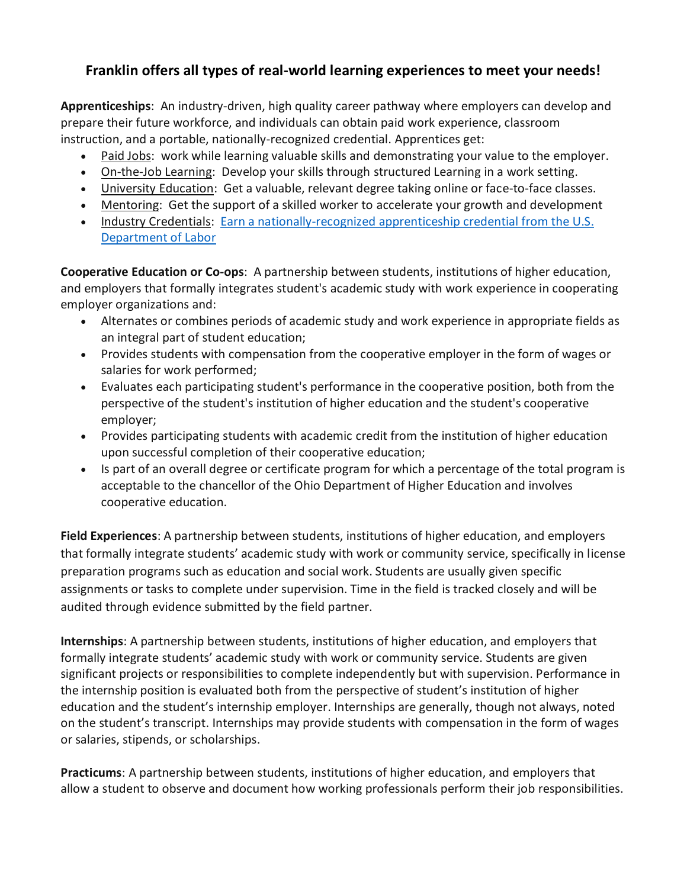# **Franklin offers all types of real-world learning experiences to meet your needs!**

**Apprenticeships**: An industry-driven, high quality career pathway where employers can develop and prepare their future workforce, and individuals can obtain paid work experience, classroom instruction, and a portable, nationally-recognized credential. Apprentices get:

- Paid Jobs: work while learning valuable skills and demonstrating your value to the employer.
- On-the-Job Learning: Develop your skills through structured Learning in a work setting.
- University Education: Get a valuable, relevant degree taking online or face-to-face classes.
- Mentoring: Get the support of a skilled worker to accelerate your growth and development
- Industry Credentials: Earn [a nationally-recognized apprenticeship credential from the U.S.](https://www.apprenticeship.gov/career-seekers)  [Department of Labor](https://www.apprenticeship.gov/career-seekers)

**Cooperative Education or Co-ops**: A partnership between students, institutions of higher education, and employers that formally integrates student's academic study with work experience in cooperating employer organizations and:

- Alternates or combines periods of academic study and work experience in appropriate fields as an integral part of student education;
- Provides students with compensation from the cooperative employer in the form of wages or salaries for work performed;
- Evaluates each participating student's performance in the cooperative position, both from the perspective of the student's institution of higher education and the student's cooperative employer;
- Provides participating students with academic credit from the institution of higher education upon successful completion of their cooperative education;
- Is part of an overall degree or certificate program for which a percentage of the total program is acceptable to the chancellor of the Ohio Department of Higher Education and involves cooperative education.

**Field Experiences**: A partnership between students, institutions of higher education, and employers that formally integrate students' academic study with work or community service, specifically in license preparation programs such as education and social work. Students are usually given specific assignments or tasks to complete under supervision. Time in the field is tracked closely and will be audited through evidence submitted by the field partner.

**Internships**: A partnership between students, institutions of higher education, and employers that formally integrate students' academic study with work or community service. Students are given significant projects or responsibilities to complete independently but with supervision. Performance in the internship position is evaluated both from the perspective of student's institution of higher education and the student's internship employer. Internships are generally, though not always, noted on the student's transcript. Internships may provide students with compensation in the form of wages or salaries, stipends, or scholarships.

**Practicums**: A partnership between students, institutions of higher education, and employers that allow a student to observe and document how working professionals perform their job responsibilities.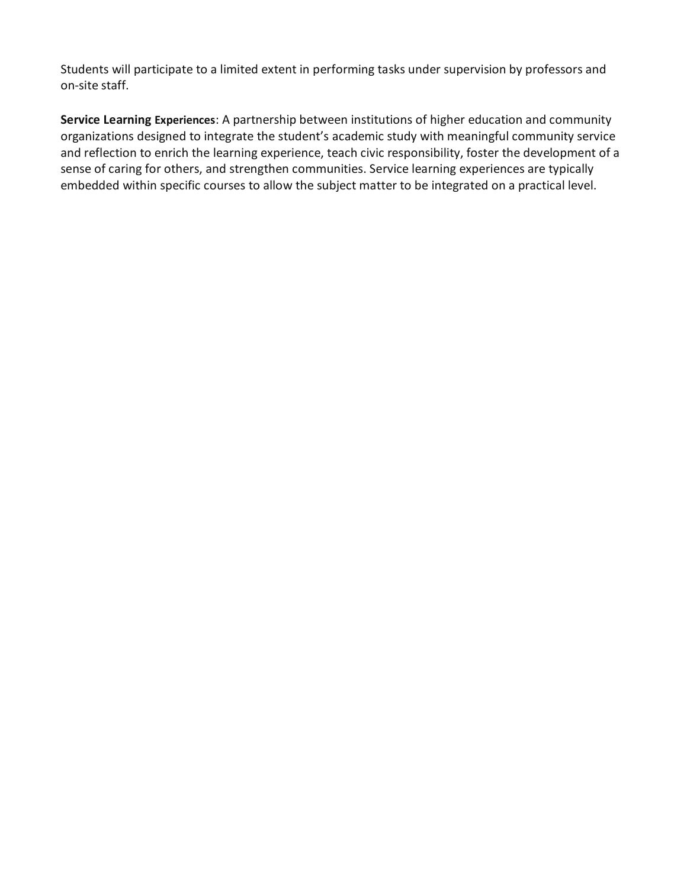Students will participate to a limited extent in performing tasks under supervision by professors and on-site staff.

**Service Learning Experiences**: A partnership between institutions of higher education and community organizations designed to integrate the student's academic study with meaningful community service and reflection to enrich the learning experience, teach civic responsibility, foster the development of a sense of caring for others, and strengthen communities. Service learning experiences are typically embedded within specific courses to allow the subject matter to be integrated on a practical level.